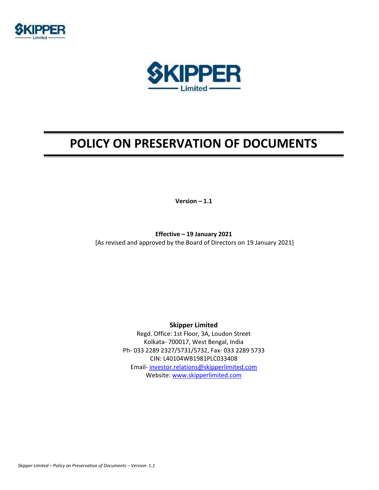



# **POLICY ON PRESERVATION OF DOCUMENTS**

**Version – 1.1**

**Effective – 19 January 2021** [As revised and approved by the Board of Directors on 19 January 2021]

**Skipper Limited**

Regd. Office: 1st Floor, 3A, Loudon Street Kolkata- 700017, West Bengal, India Ph- 033 2289 2327/5731/5732, Fax- 033 2289 5733 CIN: L40104WB1981PLC033408 Email- investor.relations@skipperlimited.com Website: www.skipperlimited.com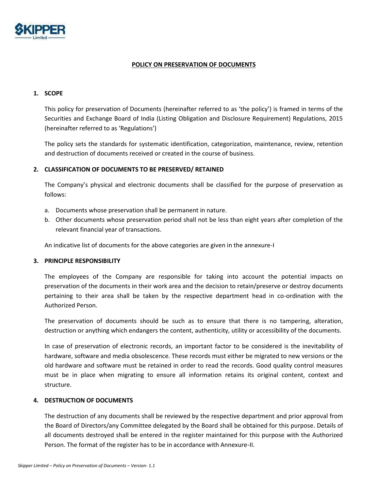

# **POLICY ON PRESERVATION OF DOCUMENTS**

# **1. SCOPE**

This policy for preservation of Documents (hereinafter referred to as 'the policy') is framed in terms of the Securities and Exchange Board of India (Listing Obligation and Disclosure Requirement) Regulations, 2015 (hereinafter referred to as 'Regulations')

The policy sets the standards for systematic identification, categorization, maintenance, review, retention and destruction of documents received or created in the course of business.

# **2. CLASSIFICATION OF DOCUMENTS TO BE PRESERVED/ RETAINED**

The Company's physical and electronic documents shall be classified for the purpose of preservation as follows:

- a. Documents whose preservation shall be permanent in nature.
- b. Other documents whose preservation period shall not be less than eight years after completion of the relevant financial year of transactions.

An indicative list of documents for the above categories are given in the annexure-I

#### **3. PRINCIPLE RESPONSIBILITY**

The employees of the Company are responsible for taking into account the potential impacts on preservation of the documents in their work area and the decision to retain/preserve or destroy documents pertaining to their area shall be taken by the respective department head in co-ordination with the Authorized Person.

The preservation of documents should be such as to ensure that there is no tampering, alteration, destruction or anything which endangers the content, authenticity, utility or accessibility of the documents.

In case of preservation of electronic records, an important factor to be considered is the inevitability of hardware, software and media obsolescence. These records must either be migrated to new versions or the old hardware and software must be retained in order to read the records. Good quality control measures must be in place when migrating to ensure all information retains its original content, context and structure.

#### **4. DESTRUCTION OF DOCUMENTS**

The destruction of any documents shall be reviewed by the respective department and prior approval from the Board of Directors/any Committee delegated by the Board shall be obtained for this purpose. Details of all documents destroyed shall be entered in the register maintained for this purpose with the Authorized Person. The format of the register has to be in accordance with Annexure-II.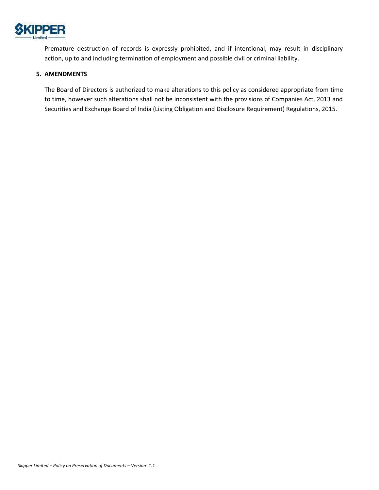

Premature destruction of records is expressly prohibited, and if intentional, may result in disciplinary action, up to and including termination of employment and possible civil or criminal liability.

## **5. AMENDMENTS**

The Board of Directors is authorized to make alterations to this policy as considered appropriate from time to time, however such alterations shall not be inconsistent with the provisions of Companies Act, 2013 and Securities and Exchange Board of India (Listing Obligation and Disclosure Requirement) Regulations, 2015.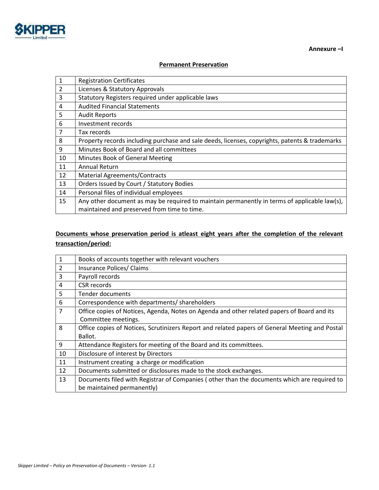

**Annexure –I**

## **Permanent Preservation**

| 1              | <b>Registration Certificates</b>                                                               |  |  |  |
|----------------|------------------------------------------------------------------------------------------------|--|--|--|
| $\overline{2}$ | Licenses & Statutory Approvals                                                                 |  |  |  |
| 3              | Statutory Registers required under applicable laws                                             |  |  |  |
| 4              | <b>Audited Financial Statements</b>                                                            |  |  |  |
| 5              | <b>Audit Reports</b>                                                                           |  |  |  |
| 6              | Investment records                                                                             |  |  |  |
| 7              | Tax records                                                                                    |  |  |  |
| 8              | Property records including purchase and sale deeds, licenses, copyrights, patents & trademarks |  |  |  |
| 9              | Minutes Book of Board and all committees                                                       |  |  |  |
| 10             | Minutes Book of General Meeting                                                                |  |  |  |
| 11             | <b>Annual Return</b>                                                                           |  |  |  |
| 12             | <b>Material Agreements/Contracts</b>                                                           |  |  |  |
| 13             | Orders Issued by Court / Statutory Bodies                                                      |  |  |  |
| 14             | Personal files of individual employees                                                         |  |  |  |
| 15             | Any other document as may be required to maintain permanently in terms of applicable law(s),   |  |  |  |
|                | maintained and preserved from time to time.                                                    |  |  |  |

# **Documents whose preservation period is atleast eight years after the completion of the relevant transaction/period:**

| $\mathbf{1}$ | Books of accounts together with relevant vouchers                                              |
|--------------|------------------------------------------------------------------------------------------------|
| 2            | Insurance Polices/ Claims                                                                      |
| 3            | Payroll records                                                                                |
| 4            | <b>CSR</b> records                                                                             |
| 5            | Tender documents                                                                               |
| 6            | Correspondence with departments/ shareholders                                                  |
| 7            | Office copies of Notices, Agenda, Notes on Agenda and other related papers of Board and its    |
|              | Committee meetings.                                                                            |
| 8            | Office copies of Notices, Scrutinizers Report and related papers of General Meeting and Postal |
|              | Ballot.                                                                                        |
| 9            | Attendance Registers for meeting of the Board and its committees.                              |
| 10           | Disclosure of interest by Directors                                                            |
| 11           | Instrument creating a charge or modification                                                   |
| 12           | Documents submitted or disclosures made to the stock exchanges.                                |
| 13           | Documents filed with Registrar of Companies (other than the documents which are required to    |
|              | be maintained permanently)                                                                     |